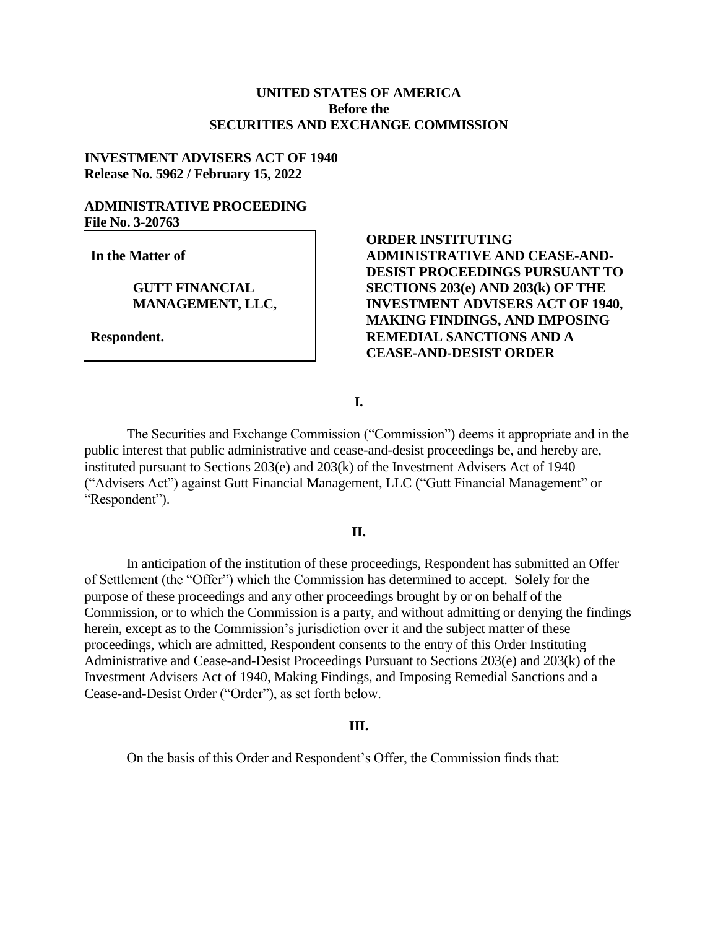# **UNITED STATES OF AMERICA Before the SECURITIES AND EXCHANGE COMMISSION**

# **INVESTMENT ADVISERS ACT OF 1940 Release No. 5962 / February 15, 2022**

# **ADMINISTRATIVE PROCEEDING File No. 3-20763**

**In the Matter of**

## **GUTT FINANCIAL MANAGEMENT, LLC,**

**Respondent.**

# **ORDER INSTITUTING ADMINISTRATIVE AND CEASE-AND-DESIST PROCEEDINGS PURSUANT TO SECTIONS 203(e) AND 203(k) OF THE INVESTMENT ADVISERS ACT OF 1940, MAKING FINDINGS, AND IMPOSING REMEDIAL SANCTIONS AND A CEASE-AND-DESIST ORDER**

### **I.**

The Securities and Exchange Commission ("Commission") deems it appropriate and in the public interest that public administrative and cease-and-desist proceedings be, and hereby are, instituted pursuant to Sections 203(e) and 203(k) of the Investment Advisers Act of 1940 ("Advisers Act") against Gutt Financial Management, LLC ("Gutt Financial Management" or "Respondent").

### **II.**

In anticipation of the institution of these proceedings, Respondent has submitted an Offer of Settlement (the "Offer") which the Commission has determined to accept. Solely for the purpose of these proceedings and any other proceedings brought by or on behalf of the Commission, or to which the Commission is a party, and without admitting or denying the findings herein, except as to the Commission's jurisdiction over it and the subject matter of these proceedings, which are admitted, Respondent consents to the entry of this Order Instituting Administrative and Cease-and-Desist Proceedings Pursuant to Sections 203(e) and 203(k) of the Investment Advisers Act of 1940, Making Findings, and Imposing Remedial Sanctions and a Cease-and-Desist Order ("Order"), as set forth below.

#### **III.**

On the basis of this Order and Respondent's Offer, the Commission finds that: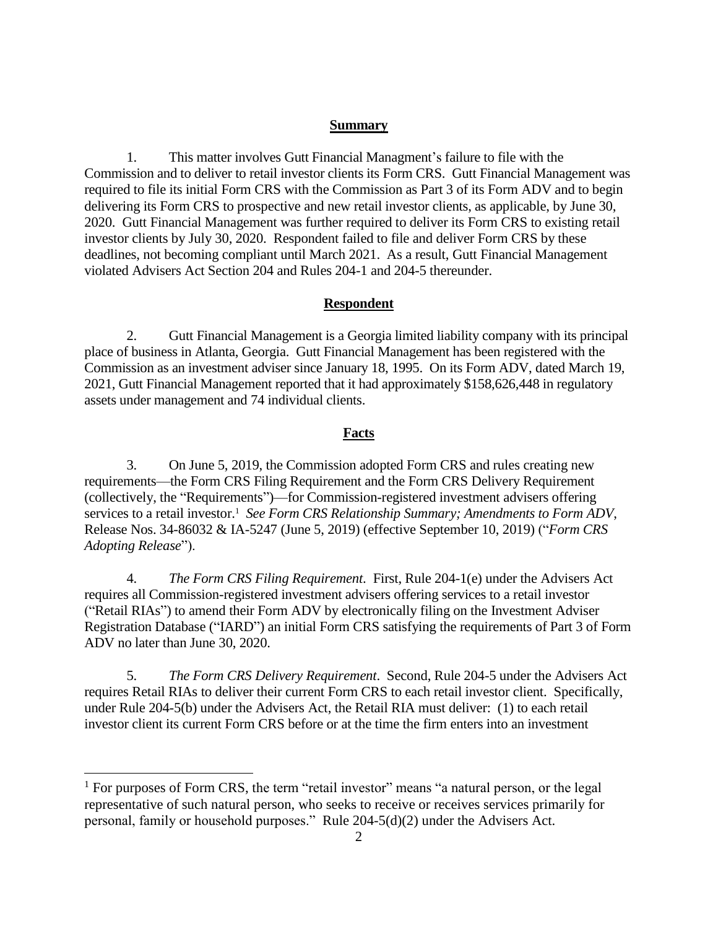#### **Summary**

1. This matter involves Gutt Financial Managment's failure to file with the Commission and to deliver to retail investor clients its Form CRS. Gutt Financial Management was required to file its initial Form CRS with the Commission as Part 3 of its Form ADV and to begin delivering its Form CRS to prospective and new retail investor clients, as applicable, by June 30, 2020. Gutt Financial Management was further required to deliver its Form CRS to existing retail investor clients by July 30, 2020. Respondent failed to file and deliver Form CRS by these deadlines, not becoming compliant until March 2021. As a result, Gutt Financial Management violated Advisers Act Section 204 and Rules 204-1 and 204-5 thereunder.

#### **Respondent**

2. Gutt Financial Management is a Georgia limited liability company with its principal place of business in Atlanta, Georgia. Gutt Financial Management has been registered with the Commission as an investment adviser since January 18, 1995. On its Form ADV, dated March 19, 2021, Gutt Financial Management reported that it had approximately \$158,626,448 in regulatory assets under management and 74 individual clients.

# **Facts**

3. On June 5, 2019, the Commission adopted Form CRS and rules creating new requirements—the Form CRS Filing Requirement and the Form CRS Delivery Requirement (collectively, the "Requirements")—for Commission-registered investment advisers offering services to a retail investor.<sup>1</sup> See Form CRS Relationship Summary; Amendments to Form ADV, Release Nos. 34-86032 & IA-5247 (June 5, 2019) (effective September 10, 2019) ("*Form CRS Adopting Release*").

4. *The Form CRS Filing Requirement*. First, Rule 204-1(e) under the Advisers Act requires all Commission-registered investment advisers offering services to a retail investor ("Retail RIAs") to amend their Form ADV by electronically filing on the Investment Adviser Registration Database ("IARD") an initial Form CRS satisfying the requirements of Part 3 of Form ADV no later than June 30, 2020.

5. *The Form CRS Delivery Requirement*. Second, Rule 204-5 under the Advisers Act requires Retail RIAs to deliver their current Form CRS to each retail investor client. Specifically, under Rule 204-5(b) under the Advisers Act, the Retail RIA must deliver: (1) to each retail investor client its current Form CRS before or at the time the firm enters into an investment

 $\overline{a}$ 

 $<sup>1</sup>$  For purposes of Form CRS, the term "retail investor" means "a natural person, or the legal</sup> representative of such natural person, who seeks to receive or receives services primarily for personal, family or household purposes." Rule 204-5(d)(2) under the Advisers Act.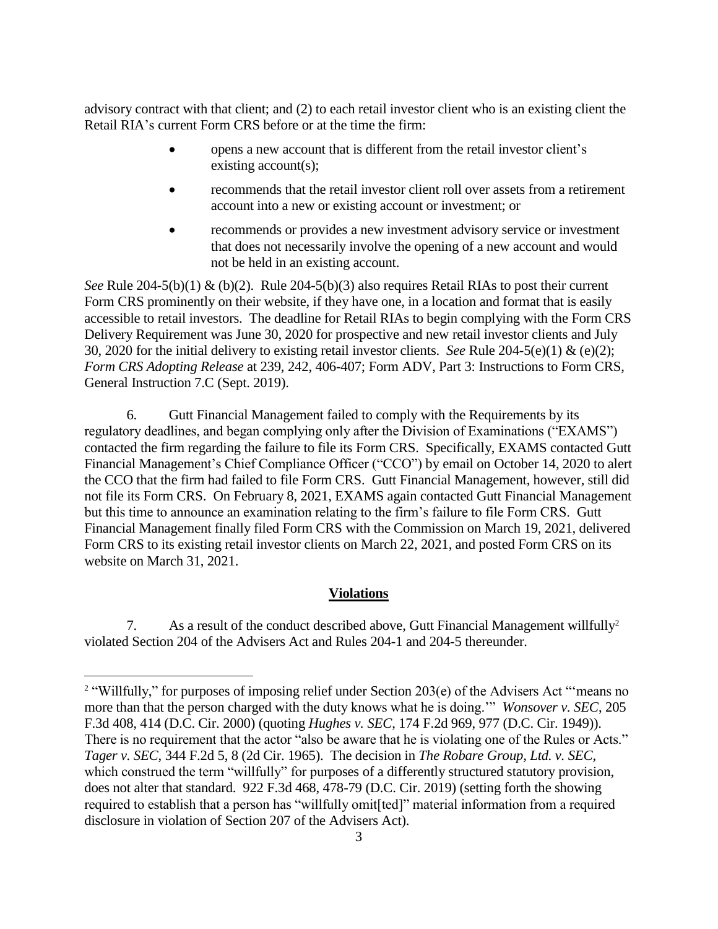advisory contract with that client; and (2) to each retail investor client who is an existing client the Retail RIA's current Form CRS before or at the time the firm:

- opens a new account that is different from the retail investor client's existing account(s);
- recommends that the retail investor client roll over assets from a retirement account into a new or existing account or investment; or
- recommends or provides a new investment advisory service or investment that does not necessarily involve the opening of a new account and would not be held in an existing account.

*See* Rule 204-5(b)(1) & (b)(2). Rule 204-5(b)(3) also requires Retail RIAs to post their current Form CRS prominently on their website, if they have one, in a location and format that is easily accessible to retail investors. The deadline for Retail RIAs to begin complying with the Form CRS Delivery Requirement was June 30, 2020 for prospective and new retail investor clients and July 30, 2020 for the initial delivery to existing retail investor clients. *See* Rule 204-5(e)(1) & (e)(2); *Form CRS Adopting Release* at 239, 242, 406-407; Form ADV, Part 3: Instructions to Form CRS, General Instruction 7.C (Sept. 2019).

6. Gutt Financial Management failed to comply with the Requirements by its regulatory deadlines, and began complying only after the Division of Examinations ("EXAMS") contacted the firm regarding the failure to file its Form CRS. Specifically, EXAMS contacted Gutt Financial Management's Chief Compliance Officer ("CCO") by email on October 14, 2020 to alert the CCO that the firm had failed to file Form CRS. Gutt Financial Management, however, still did not file its Form CRS. On February 8, 2021, EXAMS again contacted Gutt Financial Management but this time to announce an examination relating to the firm's failure to file Form CRS. Gutt Financial Management finally filed Form CRS with the Commission on March 19, 2021, delivered Form CRS to its existing retail investor clients on March 22, 2021, and posted Form CRS on its website on March 31, 2021.

# **Violations**

7. As a result of the conduct described above, Gutt Financial Management willfully<sup>2</sup> violated Section 204 of the Advisers Act and Rules 204-1 and 204-5 thereunder.

 $\overline{a}$ 

<sup>&</sup>lt;sup>2</sup> "Willfully," for purposes of imposing relief under Section 203(e) of the Advisers Act "'means no more than that the person charged with the duty knows what he is doing.'" *Wonsover v. SEC*, 205 F.3d 408, 414 (D.C. Cir. 2000) (quoting *Hughes v. SEC*, 174 F.2d 969, 977 (D.C. Cir. 1949)). There is no requirement that the actor "also be aware that he is violating one of the Rules or Acts." *Tager v. SEC*, 344 F.2d 5, 8 (2d Cir. 1965). The decision in *The Robare Group, Ltd. v. SEC*, which construed the term "willfully" for purposes of a differently structured statutory provision, does not alter that standard. 922 F.3d 468, 478-79 (D.C. Cir. 2019) (setting forth the showing required to establish that a person has "willfully omit[ted]" material information from a required disclosure in violation of Section 207 of the Advisers Act).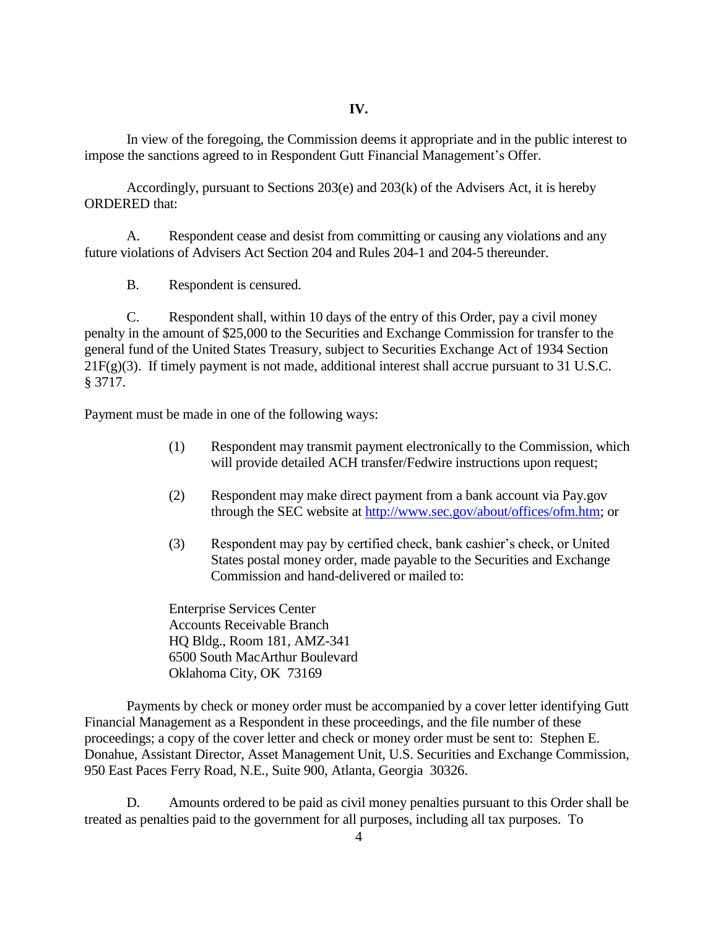In view of the foregoing, the Commission deems it appropriate and in the public interest to impose the sanctions agreed to in Respondent Gutt Financial Management's Offer.

Accordingly, pursuant to Sections 203(e) and 203(k) of the Advisers Act, it is hereby ORDERED that:

A. Respondent cease and desist from committing or causing any violations and any future violations of Advisers Act Section 204 and Rules 204-1 and 204-5 thereunder.

B. Respondent is censured.

C. Respondent shall, within 10 days of the entry of this Order, pay a civil money penalty in the amount of \$25,000 to the Securities and Exchange Commission for transfer to the general fund of the United States Treasury, subject to Securities Exchange Act of 1934 Section 21F(g)(3). If timely payment is not made, additional interest shall accrue pursuant to 31 U.S.C. § 3717.

Payment must be made in one of the following ways:

- (1) Respondent may transmit payment electronically to the Commission, which will provide detailed ACH transfer/Fedwire instructions upon request;
- (2) Respondent may make direct payment from a bank account via Pay.gov through the SEC website at [http://www.sec.gov/about/offices/ofm.htm;](http://www.sec.gov/about/offices/ofm.htm) or
- (3) Respondent may pay by certified check, bank cashier's check, or United States postal money order, made payable to the Securities and Exchange Commission and hand-delivered or mailed to:

Enterprise Services Center Accounts Receivable Branch HQ Bldg., Room 181, AMZ-341 6500 South MacArthur Boulevard Oklahoma City, OK 73169

Payments by check or money order must be accompanied by a cover letter identifying Gutt Financial Management as a Respondent in these proceedings, and the file number of these proceedings; a copy of the cover letter and check or money order must be sent to: Stephen E. Donahue, Assistant Director, Asset Management Unit, U.S. Securities and Exchange Commission, 950 East Paces Ferry Road, N.E., Suite 900, Atlanta, Georgia 30326.

D. Amounts ordered to be paid as civil money penalties pursuant to this Order shall be treated as penalties paid to the government for all purposes, including all tax purposes. To